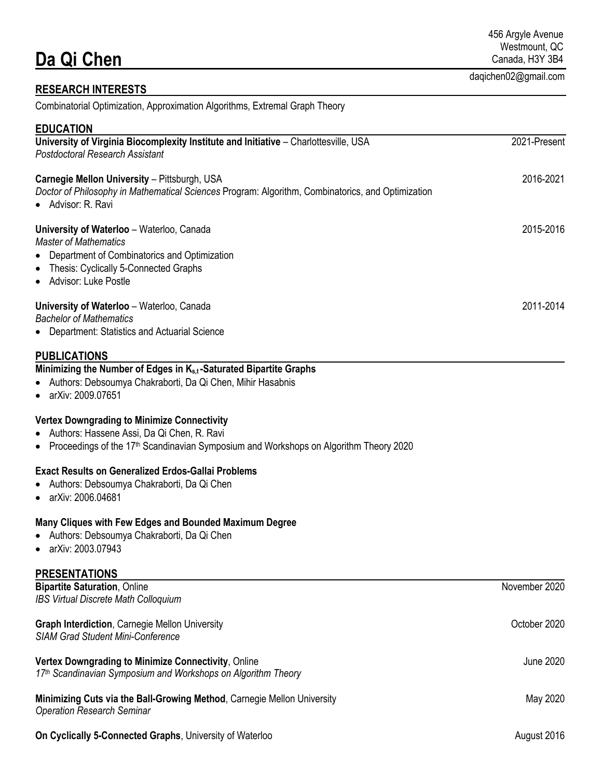| Da Qi Chen                                                                                                                                                                                                                                                                                                                                                                       | 456 Argyle Avenue<br>Westmount, QC<br>Canada, H3Y 3B4 |
|----------------------------------------------------------------------------------------------------------------------------------------------------------------------------------------------------------------------------------------------------------------------------------------------------------------------------------------------------------------------------------|-------------------------------------------------------|
| <b>RESEARCH INTERESTS</b>                                                                                                                                                                                                                                                                                                                                                        | daqichen02@gmail.com                                  |
| Combinatorial Optimization, Approximation Algorithms, Extremal Graph Theory                                                                                                                                                                                                                                                                                                      |                                                       |
| <b>EDUCATION</b>                                                                                                                                                                                                                                                                                                                                                                 |                                                       |
| University of Virginia Biocomplexity Institute and Initiative - Charlottesville, USA<br><b>Postdoctoral Research Assistant</b>                                                                                                                                                                                                                                                   | 2021-Present                                          |
| Carnegie Mellon University - Pittsburgh, USA<br>Doctor of Philosophy in Mathematical Sciences Program: Algorithm, Combinatorics, and Optimization<br>• Advisor: R. Ravi                                                                                                                                                                                                          | 2016-2021                                             |
| University of Waterloo - Waterloo, Canada<br><b>Master of Mathematics</b><br>Department of Combinatorics and Optimization<br>$\bullet$                                                                                                                                                                                                                                           | 2015-2016                                             |
| Thesis: Cyclically 5-Connected Graphs<br>٠<br>• Advisor: Luke Postle                                                                                                                                                                                                                                                                                                             |                                                       |
| University of Waterloo - Waterloo, Canada<br><b>Bachelor of Mathematics</b>                                                                                                                                                                                                                                                                                                      | 2011-2014                                             |
| • Department: Statistics and Actuarial Science                                                                                                                                                                                                                                                                                                                                   |                                                       |
| Minimizing the Number of Edges in K <sub>s,t</sub> -Saturated Bipartite Graphs<br>Authors: Debsoumya Chakraborti, Da Qi Chen, Mihir Hasabnis<br>• arXiv: 2009.07651<br><b>Vertex Downgrading to Minimize Connectivity</b><br>• Authors: Hassene Assi, Da Qi Chen, R. Ravi<br>• Proceedings of the 17 <sup>th</sup> Scandinavian Symposium and Workshops on Algorithm Theory 2020 |                                                       |
| <b>Exact Results on Generalized Erdos-Gallai Problems</b><br>Authors: Debsoumya Chakraborti, Da Qi Chen<br>٠<br>arXiv: 2006.04681<br>$\bullet$                                                                                                                                                                                                                                   |                                                       |
| Many Cliques with Few Edges and Bounded Maximum Degree<br>Authors: Debsoumya Chakraborti, Da Qi Chen<br>arXiv: 2003.07943                                                                                                                                                                                                                                                        |                                                       |
| <b>PRESENTATIONS</b>                                                                                                                                                                                                                                                                                                                                                             |                                                       |
| <b>Bipartite Saturation, Online</b><br><b>IBS Virtual Discrete Math Colloquium</b>                                                                                                                                                                                                                                                                                               | November 2020                                         |
| <b>Graph Interdiction, Carnegie Mellon University</b><br><b>SIAM Grad Student Mini-Conference</b>                                                                                                                                                                                                                                                                                | October 2020                                          |
| Vertex Downgrading to Minimize Connectivity, Online<br>17th Scandinavian Symposium and Workshops on Algorithm Theory                                                                                                                                                                                                                                                             | <b>June 2020</b>                                      |
| Minimizing Cuts via the Ball-Growing Method, Carnegie Mellon University<br><b>Operation Research Seminar</b>                                                                                                                                                                                                                                                                     | May 2020                                              |

**On Cyclically 5-Connected Graphs**, University of Waterloo August 2016